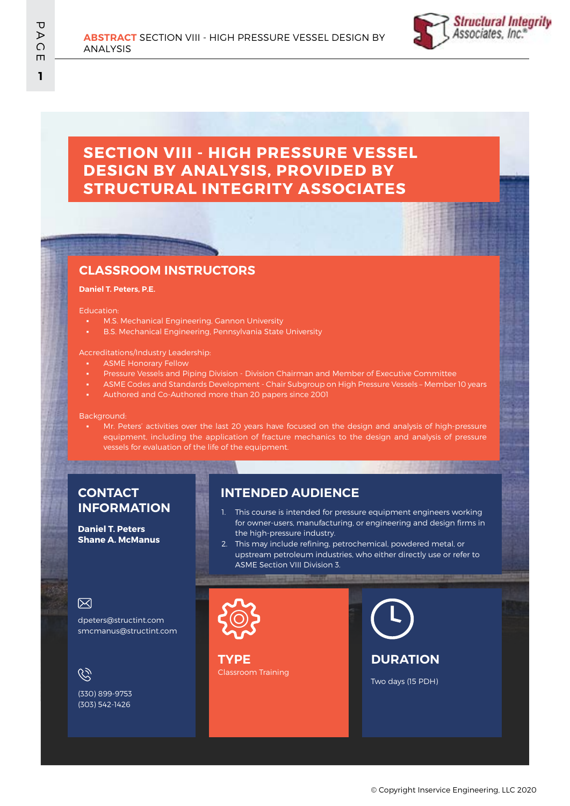

# **SECTION VIII - HIGH PRESSURE VESSEL DESIGN BY ANALYSIS, PROVIDED BY STRUCTURAL INTEGRITY ASSOCIATES**

## **CLASSROOM INSTRUCTORS**

#### **Daniel T. Peters, P.E.**

#### Education:

- **M.S. Mechanical Engineering, Gannon University**
- B.S. Mechanical Engineering, Pennsylvania State University

### Accreditations/Industry Leadership:

- **ASME Honorary Fellow**
- Pressure Vessels and Piping Division Division Chairman and Member of Executive Committee
- ASME Codes and Standards Development Chair Subgroup on High Pressure Vessels Member 10 years
- Authored and Co-Authored more than 20 papers since 2001

#### Background:

Mr. Peters' activities over the last 20 years have focused on the design and analysis of high-pressure equipment, including the application of fracture mechanics to the design and analysis of pressure vessels for evaluation of the life of the equipment.

## **CONTACT INFORMATION**

**Daniel T. Peters Shane A. McManus**

## **INTENDED AUDIENCE**

- 1. This course is intended for pressure equipment engineers working for owner-users, manufacturing, or engineering and design firms in the high-pressure industry.
- 2. This may include refining, petrochemical, powdered metal, or upstream petroleum industries, who either directly use or refer to ASME Section VIII Division 3.

## 冈

dpeters@structint.com smcmanus@structint.com

 $\mathscr{C}$ 

(330) 899-9753 (303) 542-1426

Classroom Training **TYPE**

**DURATION**

Two days (15 PDH)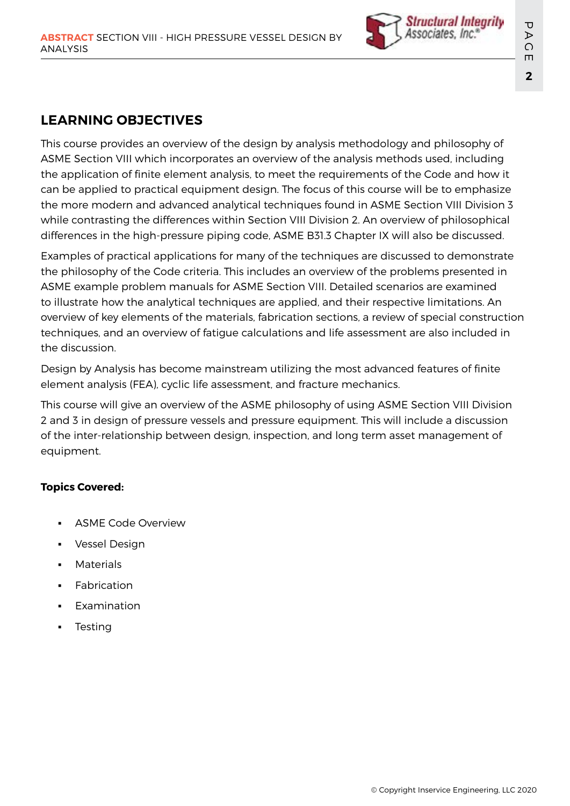

# **LEARNING OBJECTIVES**

This course provides an overview of the design by analysis methodology and philosophy of ASME Section VIII which incorporates an overview of the analysis methods used, including the application of finite element analysis, to meet the requirements of the Code and how it can be applied to practical equipment design. The focus of this course will be to emphasize the more modern and advanced analytical techniques found in ASME Section VIII Division 3 while contrasting the differences within Section VIII Division 2. An overview of philosophical differences in the high-pressure piping code, ASME B31.3 Chapter IX will also be discussed.

Examples of practical applications for many of the techniques are discussed to demonstrate the philosophy of the Code criteria. This includes an overview of the problems presented in ASME example problem manuals for ASME Section VIII. Detailed scenarios are examined to illustrate how the analytical techniques are applied, and their respective limitations. An overview of key elements of the materials, fabrication sections, a review of special construction techniques, and an overview of fatigue calculations and life assessment are also included in the discussion.

Design by Analysis has become mainstream utilizing the most advanced features of finite element analysis (FEA), cyclic life assessment, and fracture mechanics.

This course will give an overview of the ASME philosophy of using ASME Section VIII Division 2 and 3 in design of pressure vessels and pressure equipment. This will include a discussion of the inter-relationship between design, inspection, and long term asset management of equipment.

# **Topics Covered:**

- **ASME Code Overview**
- Vessel Design
- **Materials**
- **Fabrication**
- **Examination**
- **Testing**